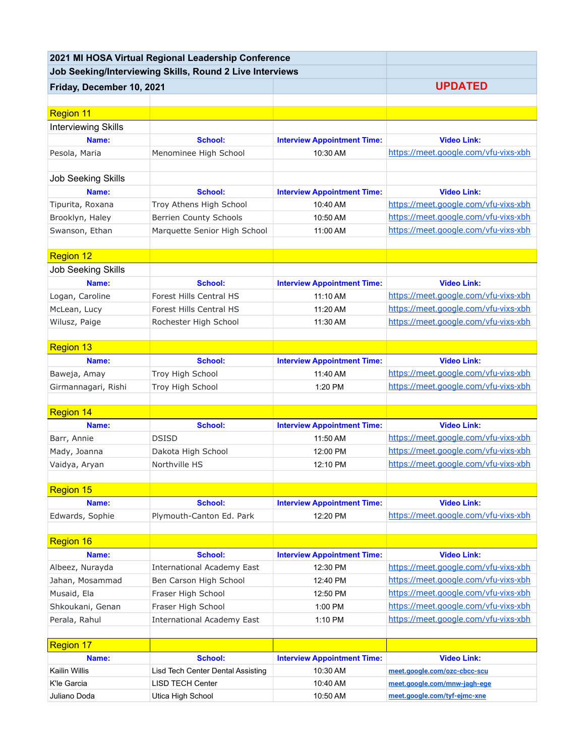| 2021 MI HOSA Virtual Regional Leadership Conference      |                                   |                                    |                                      |
|----------------------------------------------------------|-----------------------------------|------------------------------------|--------------------------------------|
| Job Seeking/Interviewing Skills, Round 2 Live Interviews |                                   |                                    |                                      |
| Friday, December 10, 2021                                |                                   |                                    | <b>UPDATED</b>                       |
|                                                          |                                   |                                    |                                      |
| <b>Region 11</b>                                         |                                   |                                    |                                      |
| <b>Interviewing Skills</b>                               |                                   |                                    |                                      |
| Name:                                                    | <b>School:</b>                    | <b>Interview Appointment Time:</b> | <b>Video Link:</b>                   |
| Pesola, Maria                                            | Menominee High School             | 10:30 AM                           | https://meet.google.com/vfu-vixs-xbh |
|                                                          |                                   |                                    |                                      |
| <b>Job Seeking Skills</b>                                |                                   |                                    |                                      |
| Name:                                                    | <b>School:</b>                    | <b>Interview Appointment Time:</b> | <b>Video Link:</b>                   |
| Tipurita, Roxana                                         | Troy Athens High School           | 10:40 AM                           | https://meet.google.com/vfu-vixs-xbh |
| Brooklyn, Haley                                          | <b>Berrien County Schools</b>     | 10:50 AM                           | https://meet.google.com/vfu-vixs-xbh |
| Swanson, Ethan                                           | Marquette Senior High School      | 11:00 AM                           | https://meet.google.com/vfu-vixs-xbh |
|                                                          |                                   |                                    |                                      |
| <b>Region 12</b>                                         |                                   |                                    |                                      |
| <b>Job Seeking Skills</b>                                |                                   |                                    |                                      |
| Name:                                                    | <b>School:</b>                    | <b>Interview Appointment Time:</b> | <b>Video Link:</b>                   |
| Logan, Caroline                                          | Forest Hills Central HS           | 11:10 AM                           | https://meet.google.com/vfu-vixs-xbh |
| McLean, Lucy                                             | <b>Forest Hills Central HS</b>    | 11:20 AM                           | https://meet.google.com/vfu-vixs-xbh |
| Wilusz, Paige                                            | Rochester High School             | 11:30 AM                           | https://meet.google.com/vfu-vixs-xbh |
|                                                          |                                   |                                    |                                      |
| <b>Region 13</b>                                         |                                   |                                    |                                      |
| Name:                                                    | <b>School:</b>                    | <b>Interview Appointment Time:</b> | <b>Video Link:</b>                   |
| Baweja, Amay                                             | Troy High School                  | 11:40 AM                           | https://meet.google.com/vfu-vixs-xbh |
| Girmannagari, Rishi                                      | Troy High School                  | 1:20 PM                            | https://meet.google.com/vfu-vixs-xbh |
|                                                          |                                   |                                    |                                      |
| <b>Region 14</b>                                         |                                   |                                    |                                      |
| Name:                                                    | <b>School:</b>                    | <b>Interview Appointment Time:</b> | <b>Video Link:</b>                   |
| Barr, Annie                                              | <b>DSISD</b>                      | 11:50 AM                           | https://meet.google.com/vfu-vixs-xbh |
| Mady, Joanna                                             | Dakota High School                | 12:00 PM                           | https://meet.google.com/vfu-vixs-xbh |
| Vaidya, Aryan                                            | Northville HS                     | 12:10 PM                           | https://meet.google.com/vfu-vixs-xbh |
|                                                          |                                   |                                    |                                      |
| <b>Region 15</b>                                         |                                   |                                    |                                      |
| Name:                                                    | <b>School:</b>                    | <b>Interview Appointment Time:</b> | <b>Video Link:</b>                   |
| Edwards, Sophie                                          | Plymouth-Canton Ed. Park          | 12:20 PM                           | https://meet.google.com/vfu-vixs-xbh |
|                                                          |                                   |                                    |                                      |
| Region 16                                                |                                   |                                    |                                      |
| Name:                                                    | <b>School:</b>                    | <b>Interview Appointment Time:</b> | <b>Video Link:</b>                   |
| Albeez, Nurayda                                          | <b>International Academy East</b> | 12:30 PM                           | https://meet.google.com/vfu-vixs-xbh |
| Jahan, Mosammad                                          | Ben Carson High School            | 12:40 PM                           | https://meet.google.com/vfu-vixs-xbh |
| Musaid, Ela                                              | Fraser High School                | 12:50 PM                           | https://meet.google.com/vfu-vixs-xbh |
| Shkoukani, Genan                                         | Fraser High School                | 1:00 PM                            | https://meet.google.com/vfu-vixs-xbh |
| Perala, Rahul                                            | <b>International Academy East</b> | 1:10 PM                            | https://meet.google.com/vfu-vixs-xbh |
|                                                          |                                   |                                    |                                      |
| Region 17                                                |                                   |                                    |                                      |
| Name:                                                    | <b>School:</b>                    | <b>Interview Appointment Time:</b> | <b>Video Link:</b>                   |
| Kailin Willis                                            | Lisd Tech Center Dental Assisting | 10:30 AM                           | meet.google.com/ozc-cbcc-scu         |
| K'le Garcia                                              | <b>LISD TECH Center</b>           | 10:40 AM                           | meet.google.com/mnw-jagh-ege         |
| Juliano Doda                                             | Utica High School                 | 10:50 AM                           | meet.google.com/tyf-ejmc-xne         |